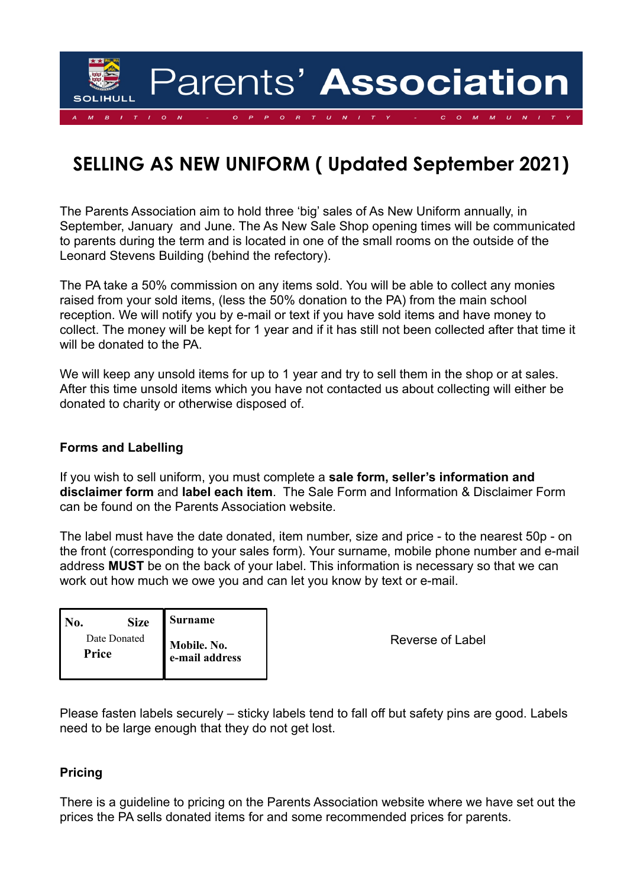

# **SELLING AS NEW UNIFORM ( Updated September 2021)**

The Parents Association aim to hold three 'big' sales of As New Uniform annually, in September, January and June. The As New Sale Shop opening times will be communicated to parents during the term and is located in one of the small rooms on the outside of the Leonard Stevens Building (behind the refectory).

The PA take a 50% commission on any items sold. You will be able to collect any monies raised from your sold items, (less the 50% donation to the PA) from the main school reception. We will notify you by e-mail or text if you have sold items and have money to collect. The money will be kept for 1 year and if it has still not been collected after that time it will be donated to the PA.

We will keep any unsold items for up to 1 year and try to sell them in the shop or at sales. After this time unsold items which you have not contacted us about collecting will either be donated to charity or otherwise disposed of.

#### **Forms and Labelling**

If you wish to sell uniform, you must complete a **sale form, seller's information and disclaimer form** and **label each item**. The Sale Form and Information & Disclaimer Form can be found on the Parents Association website.

The label must have the date donated, item number, size and price - to the nearest 50p - on the front (corresponding to your sales form). Your surname, mobile phone number and e-mail address **MUST** be on the back of your label. This information is necessary so that we can work out how much we owe you and can let you know by text or e-mail.

| NO.   | <b>Size</b>  | <b>Surname</b>                |
|-------|--------------|-------------------------------|
| Price | Date Donated | Mobile. No.<br>e-mail address |

Reverse of Label

Please fasten labels securely – sticky labels tend to fall off but safety pins are good. Labels need to be large enough that they do not get lost.

## **Pricing**

There is a guideline to pricing on the Parents Association website where we have set out the prices the PA sells donated items for and some recommended prices for parents.